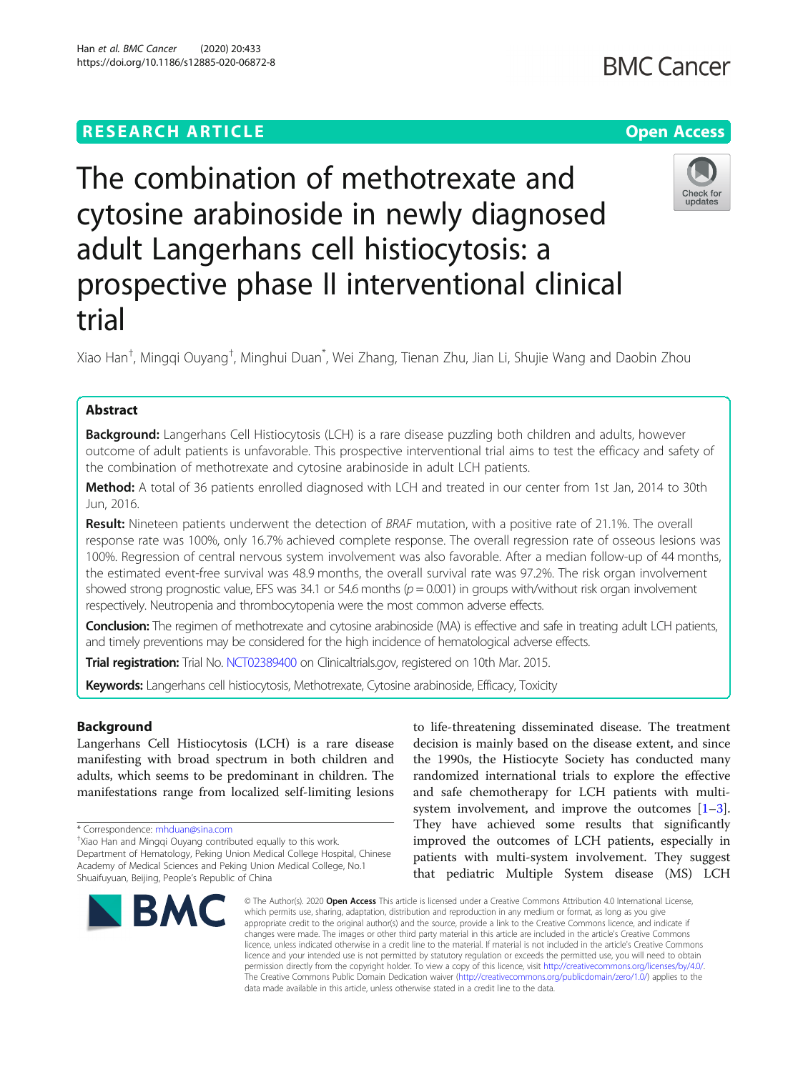# **RESEARCH ARTICLE Example 2014 12:30 The Contract of Contract ACCESS**

The combination of methotrexate and cytosine arabinoside in newly diagnosed adult Langerhans cell histiocytosis: a prospective phase II interventional clinical trial

Xiao Han<sup>†</sup>, Mingqi Ouyang<sup>†</sup>, Minghui Duan<sup>\*</sup>, Wei Zhang, Tienan Zhu, Jian Li, Shujie Wang and Daobin Zhou

# Abstract

Background: Langerhans Cell Histiocytosis (LCH) is a rare disease puzzling both children and adults, however outcome of adult patients is unfavorable. This prospective interventional trial aims to test the efficacy and safety of the combination of methotrexate and cytosine arabinoside in adult LCH patients.

Method: A total of 36 patients enrolled diagnosed with LCH and treated in our center from 1st Jan, 2014 to 30th Jun, 2016.

Result: Nineteen patients underwent the detection of BRAF mutation, with a positive rate of 21.1%. The overall response rate was 100%, only 16.7% achieved complete response. The overall regression rate of osseous lesions was 100%. Regression of central nervous system involvement was also favorable. After a median follow-up of 44 months, the estimated event-free survival was 48.9 months, the overall survival rate was 97.2%. The risk organ involvement showed strong prognostic value, EFS was 34.1 or 54.6 months ( $p = 0.001$ ) in groups with/without risk organ involvement respectively. Neutropenia and thrombocytopenia were the most common adverse effects.

Conclusion: The regimen of methotrexate and cytosine arabinoside (MA) is effective and safe in treating adult LCH patients, and timely preventions may be considered for the high incidence of hematological adverse effects.

Trial registration: Trial No. [NCT02389400](https://www.clinicaltrials.gov/ct2/show/NCT02389400?term=NCT02389400&draw=2&rank=1) on Clinicaltrials.gov, registered on 10th Mar. 2015.

Keywords: Langerhans cell histiocytosis, Methotrexate, Cytosine arabinoside, Efficacy, Toxicity

# Background

Langerhans Cell Histiocytosis (LCH) is a rare disease manifesting with broad spectrum in both children and adults, which seems to be predominant in children. The manifestations range from localized self-limiting lesions to life-threatening disseminated disease. The treatment decision is mainly based on the disease extent, and since the 1990s, the Histiocyte Society has conducted many randomized international trials to explore the effective and safe chemotherapy for LCH patients with multisystem involvement, and improve the outcomes  $[1-3]$  $[1-3]$  $[1-3]$  $[1-3]$ . They have achieved some results that significantly improved the outcomes of LCH patients, especially in patients with multi-system involvement. They suggest that pediatric Multiple System disease (MS) LCH

© The Author(s). 2020 Open Access This article is licensed under a Creative Commons Attribution 4.0 International License, which permits use, sharing, adaptation, distribution and reproduction in any medium or format, as long as you give appropriate credit to the original author(s) and the source, provide a link to the Creative Commons licence, and indicate if changes were made. The images or other third party material in this article are included in the article's Creative Commons licence, unless indicated otherwise in a credit line to the material. If material is not included in the article's Creative Commons licence and your intended use is not permitted by statutory regulation or exceeds the permitted use, you will need to obtain permission directly from the copyright holder. To view a copy of this licence, visit [http://creativecommons.org/licenses/by/4.0/.](http://creativecommons.org/licenses/by/4.0/) The Creative Commons Public Domain Dedication waiver [\(http://creativecommons.org/publicdomain/zero/1.0/](http://creativecommons.org/publicdomain/zero/1.0/)) applies to the data made available in this article, unless otherwise stated in a credit line to the data.











<sup>\*</sup> Correspondence: [mhduan@sina.com](mailto:mhduan@sina.com) †

<sup>&</sup>lt;sup>+</sup>Xiao Han and Mingqi Ouyang contributed equally to this work. Department of Hematology, Peking Union Medical College Hospital, Chinese Academy of Medical Sciences and Peking Union Medical College, No.1 Shuaifuyuan, Beijing, People's Republic of China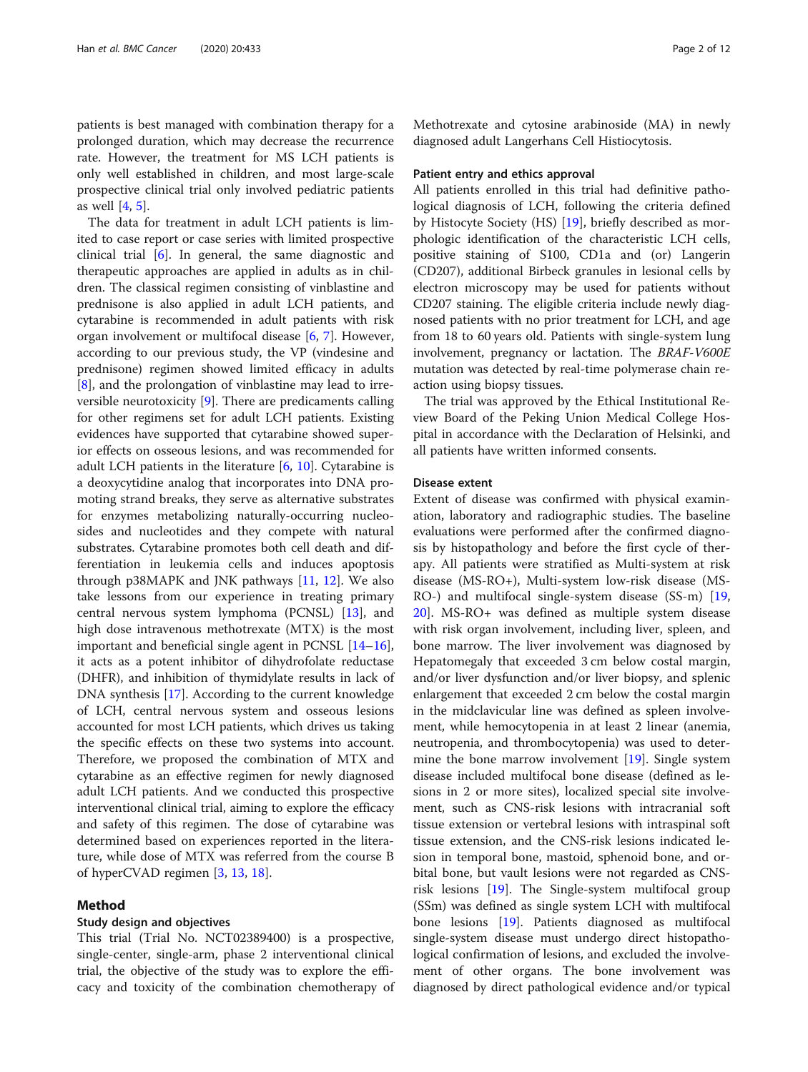patients is best managed with combination therapy for a prolonged duration, which may decrease the recurrence rate. However, the treatment for MS LCH patients is only well established in children, and most large-scale prospective clinical trial only involved pediatric patients as well [\[4](#page-10-0), [5](#page-10-0)].

The data for treatment in adult LCH patients is limited to case report or case series with limited prospective clinical trial [\[6](#page-10-0)]. In general, the same diagnostic and therapeutic approaches are applied in adults as in children. The classical regimen consisting of vinblastine and prednisone is also applied in adult LCH patients, and cytarabine is recommended in adult patients with risk organ involvement or multifocal disease [\[6](#page-10-0), [7](#page-10-0)]. However, according to our previous study, the VP (vindesine and prednisone) regimen showed limited efficacy in adults [[8\]](#page-10-0), and the prolongation of vinblastine may lead to irreversible neurotoxicity [[9\]](#page-10-0). There are predicaments calling for other regimens set for adult LCH patients. Existing evidences have supported that cytarabine showed superior effects on osseous lesions, and was recommended for adult LCH patients in the literature [[6,](#page-10-0) [10\]](#page-10-0). Cytarabine is a deoxycytidine analog that incorporates into DNA promoting strand breaks, they serve as alternative substrates for enzymes metabolizing naturally-occurring nucleosides and nucleotides and they compete with natural substrates. Cytarabine promotes both cell death and differentiation in leukemia cells and induces apoptosis through p38MAPK and JNK pathways  $[11, 12]$  $[11, 12]$  $[11, 12]$  $[11, 12]$  $[11, 12]$ . We also take lessons from our experience in treating primary central nervous system lymphoma (PCNSL) [[13\]](#page-10-0), and high dose intravenous methotrexate (MTX) is the most important and beneficial single agent in PCNSL [[14](#page-10-0)–[16](#page-10-0)], it acts as a potent inhibitor of dihydrofolate reductase (DHFR), and inhibition of thymidylate results in lack of DNA synthesis [[17\]](#page-10-0). According to the current knowledge of LCH, central nervous system and osseous lesions accounted for most LCH patients, which drives us taking the specific effects on these two systems into account. Therefore, we proposed the combination of MTX and cytarabine as an effective regimen for newly diagnosed adult LCH patients. And we conducted this prospective interventional clinical trial, aiming to explore the efficacy and safety of this regimen. The dose of cytarabine was determined based on experiences reported in the literature, while dose of MTX was referred from the course B of hyperCVAD regimen [\[3](#page-10-0), [13](#page-10-0), [18](#page-10-0)].

### Method

# Study design and objectives

This trial (Trial No. NCT02389400) is a prospective, single-center, single-arm, phase 2 interventional clinical trial, the objective of the study was to explore the efficacy and toxicity of the combination chemotherapy of Methotrexate and cytosine arabinoside (MA) in newly diagnosed adult Langerhans Cell Histiocytosis.

#### Patient entry and ethics approval

All patients enrolled in this trial had definitive pathological diagnosis of LCH, following the criteria defined by Histocyte Society (HS) [\[19\]](#page-10-0), briefly described as morphologic identification of the characteristic LCH cells, positive staining of S100, CD1a and (or) Langerin (CD207), additional Birbeck granules in lesional cells by electron microscopy may be used for patients without CD207 staining. The eligible criteria include newly diagnosed patients with no prior treatment for LCH, and age from 18 to 60 years old. Patients with single-system lung involvement, pregnancy or lactation. The BRAF-V600E mutation was detected by real-time polymerase chain reaction using biopsy tissues.

The trial was approved by the Ethical Institutional Review Board of the Peking Union Medical College Hospital in accordance with the Declaration of Helsinki, and all patients have written informed consents.

# Disease extent

Extent of disease was confirmed with physical examination, laboratory and radiographic studies. The baseline evaluations were performed after the confirmed diagnosis by histopathology and before the first cycle of therapy. All patients were stratified as Multi-system at risk disease (MS-RO+), Multi-system low-risk disease (MS-RO-) and multifocal single-system disease (SS-m) [[19](#page-10-0), [20\]](#page-10-0). MS-RO+ was defined as multiple system disease with risk organ involvement, including liver, spleen, and bone marrow. The liver involvement was diagnosed by Hepatomegaly that exceeded 3 cm below costal margin, and/or liver dysfunction and/or liver biopsy, and splenic enlargement that exceeded 2 cm below the costal margin in the midclavicular line was defined as spleen involvement, while hemocytopenia in at least 2 linear (anemia, neutropenia, and thrombocytopenia) was used to determine the bone marrow involvement [\[19\]](#page-10-0). Single system disease included multifocal bone disease (defined as lesions in 2 or more sites), localized special site involvement, such as CNS-risk lesions with intracranial soft tissue extension or vertebral lesions with intraspinal soft tissue extension, and the CNS-risk lesions indicated lesion in temporal bone, mastoid, sphenoid bone, and orbital bone, but vault lesions were not regarded as CNSrisk lesions [\[19](#page-10-0)]. The Single-system multifocal group (SSm) was defined as single system LCH with multifocal bone lesions [[19\]](#page-10-0). Patients diagnosed as multifocal single-system disease must undergo direct histopathological confirmation of lesions, and excluded the involvement of other organs. The bone involvement was diagnosed by direct pathological evidence and/or typical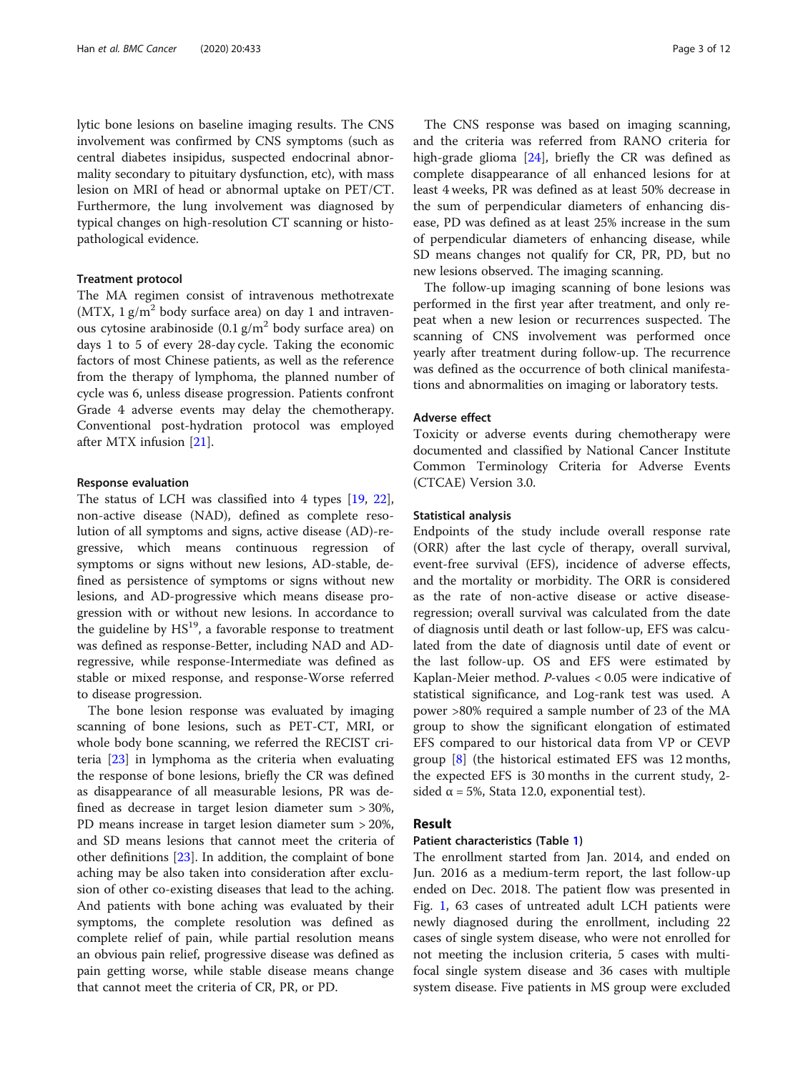lytic bone lesions on baseline imaging results. The CNS involvement was confirmed by CNS symptoms (such as central diabetes insipidus, suspected endocrinal abnormality secondary to pituitary dysfunction, etc), with mass lesion on MRI of head or abnormal uptake on PET/CT. Furthermore, the lung involvement was diagnosed by typical changes on high-resolution CT scanning or histopathological evidence.

# Treatment protocol

The MA regimen consist of intravenous methotrexate (MTX,  $1 \text{ g/m}^2$  body surface area) on day 1 and intravenous cytosine arabinoside  $(0.1 \text{ g/m}^2 \text{ body surface area})$  on days 1 to 5 of every 28-day cycle. Taking the economic factors of most Chinese patients, as well as the reference from the therapy of lymphoma, the planned number of cycle was 6, unless disease progression. Patients confront Grade 4 adverse events may delay the chemotherapy. Conventional post-hydration protocol was employed after MTX infusion [[21](#page-11-0)].

### Response evaluation

The status of LCH was classified into 4 types [\[19](#page-10-0), [22](#page-11-0)], non-active disease (NAD), defined as complete resolution of all symptoms and signs, active disease (AD)-regressive, which means continuous regression of symptoms or signs without new lesions, AD-stable, defined as persistence of symptoms or signs without new lesions, and AD-progressive which means disease progression with or without new lesions. In accordance to the guideline by  $HS<sup>19</sup>$ , a favorable response to treatment was defined as response-Better, including NAD and ADregressive, while response-Intermediate was defined as stable or mixed response, and response-Worse referred to disease progression.

The bone lesion response was evaluated by imaging scanning of bone lesions, such as PET-CT, MRI, or whole body bone scanning, we referred the RECIST criteria [\[23](#page-11-0)] in lymphoma as the criteria when evaluating the response of bone lesions, briefly the CR was defined as disappearance of all measurable lesions, PR was defined as decrease in target lesion diameter sum > 30%, PD means increase in target lesion diameter sum > 20%, and SD means lesions that cannot meet the criteria of other definitions [[23\]](#page-11-0). In addition, the complaint of bone aching may be also taken into consideration after exclusion of other co-existing diseases that lead to the aching. And patients with bone aching was evaluated by their symptoms, the complete resolution was defined as complete relief of pain, while partial resolution means an obvious pain relief, progressive disease was defined as pain getting worse, while stable disease means change that cannot meet the criteria of CR, PR, or PD.

The CNS response was based on imaging scanning, and the criteria was referred from RANO criteria for high-grade glioma [\[24](#page-11-0)], briefly the CR was defined as complete disappearance of all enhanced lesions for at least 4 weeks, PR was defined as at least 50% decrease in the sum of perpendicular diameters of enhancing disease, PD was defined as at least 25% increase in the sum of perpendicular diameters of enhancing disease, while SD means changes not qualify for CR, PR, PD, but no new lesions observed. The imaging scanning.

The follow-up imaging scanning of bone lesions was performed in the first year after treatment, and only repeat when a new lesion or recurrences suspected. The scanning of CNS involvement was performed once yearly after treatment during follow-up. The recurrence was defined as the occurrence of both clinical manifestations and abnormalities on imaging or laboratory tests.

### Adverse effect

Toxicity or adverse events during chemotherapy were documented and classified by National Cancer Institute Common Terminology Criteria for Adverse Events (CTCAE) Version 3.0.

## Statistical analysis

Endpoints of the study include overall response rate (ORR) after the last cycle of therapy, overall survival, event-free survival (EFS), incidence of adverse effects, and the mortality or morbidity. The ORR is considered as the rate of non-active disease or active diseaseregression; overall survival was calculated from the date of diagnosis until death or last follow-up, EFS was calculated from the date of diagnosis until date of event or the last follow-up. OS and EFS were estimated by Kaplan-Meier method. P-values < 0.05 were indicative of statistical significance, and Log-rank test was used. A power >80% required a sample number of 23 of the MA group to show the significant elongation of estimated EFS compared to our historical data from VP or CEVP group  $[8]$  $[8]$  (the historical estimated EFS was 12 months, the expected EFS is 30 months in the current study, 2 sided  $\alpha$  = 5%, Stata 12.0, exponential test).

# Result

# Patient characteristics (Table [1](#page-3-0))

The enrollment started from Jan. 2014, and ended on Jun. 2016 as a medium-term report, the last follow-up ended on Dec. 2018. The patient flow was presented in Fig. [1,](#page-5-0) 63 cases of untreated adult LCH patients were newly diagnosed during the enrollment, including 22 cases of single system disease, who were not enrolled for not meeting the inclusion criteria, 5 cases with multifocal single system disease and 36 cases with multiple system disease. Five patients in MS group were excluded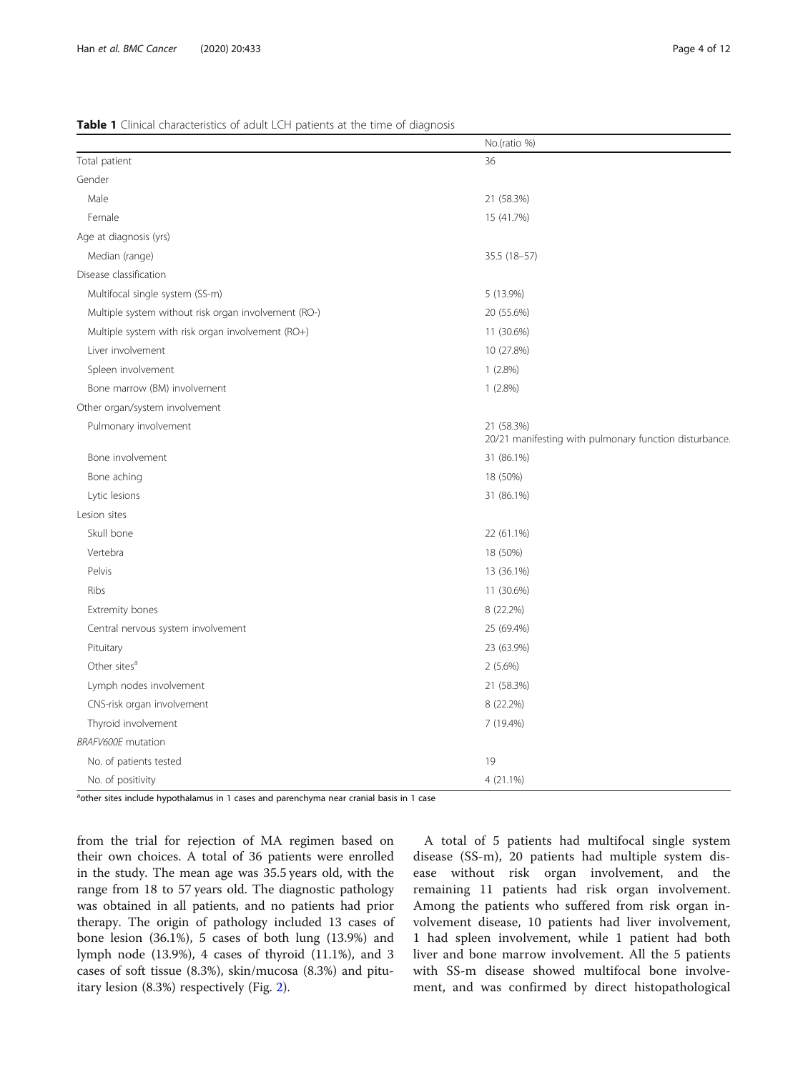### <span id="page-3-0"></span>Table 1 Clinical characteristics of adult LCH patients at the time of diagnosis

|                                                      | No.(ratio %)                                                         |  |  |
|------------------------------------------------------|----------------------------------------------------------------------|--|--|
| Total patient                                        | 36                                                                   |  |  |
| Gender                                               |                                                                      |  |  |
| Male                                                 | 21 (58.3%)                                                           |  |  |
| Female                                               | 15 (41.7%)                                                           |  |  |
| Age at diagnosis (yrs)                               |                                                                      |  |  |
| Median (range)                                       | 35.5 (18-57)                                                         |  |  |
| Disease classification                               |                                                                      |  |  |
| Multifocal single system (SS-m)                      | 5 (13.9%)                                                            |  |  |
| Multiple system without risk organ involvement (RO-) | 20 (55.6%)                                                           |  |  |
| Multiple system with risk organ involvement (RO+)    | 11 (30.6%)                                                           |  |  |
| Liver involvement                                    | 10 (27.8%)                                                           |  |  |
| Spleen involvement                                   | $1(2.8\%)$                                                           |  |  |
| Bone marrow (BM) involvement                         | $1(2.8\%)$                                                           |  |  |
| Other organ/system involvement                       |                                                                      |  |  |
| Pulmonary involvement                                | 21 (58.3%)<br>20/21 manifesting with pulmonary function disturbance. |  |  |
| Bone involvement                                     | 31 (86.1%)                                                           |  |  |
| Bone aching                                          | 18 (50%)                                                             |  |  |
| Lytic lesions                                        | 31 (86.1%)                                                           |  |  |
| Lesion sites                                         |                                                                      |  |  |
| Skull bone                                           | 22 (61.1%)                                                           |  |  |
| Vertebra                                             | 18 (50%)                                                             |  |  |
| Pelvis                                               | 13 (36.1%)                                                           |  |  |
| Ribs                                                 | 11 (30.6%)                                                           |  |  |
| Extremity bones                                      | 8 (22.2%)                                                            |  |  |
| Central nervous system involvement                   | 25 (69.4%)                                                           |  |  |
| Pituitary                                            | 23 (63.9%)                                                           |  |  |
| Other sites <sup>a</sup>                             | $2(5.6\%)$                                                           |  |  |
| Lymph nodes involvement                              | 21 (58.3%)                                                           |  |  |
| CNS-risk organ involvement                           | 8 (22.2%)                                                            |  |  |
| Thyroid involvement                                  | 7 (19.4%)                                                            |  |  |
| <b>BRAFV600E</b> mutation                            |                                                                      |  |  |
| No. of patients tested                               | 19                                                                   |  |  |
| No. of positivity                                    | 4 (21.1%)                                                            |  |  |

a<sub>other sites include hypothalamus in 1 cases and parenchyma near cranial basis in 1 case</sub>

from the trial for rejection of MA regimen based on their own choices. A total of 36 patients were enrolled in the study. The mean age was 35.5 years old, with the range from 18 to 57 years old. The diagnostic pathology was obtained in all patients, and no patients had prior therapy. The origin of pathology included 13 cases of bone lesion (36.1%), 5 cases of both lung (13.9%) and lymph node (13.9%), 4 cases of thyroid (11.1%), and 3 cases of soft tissue (8.3%), skin/mucosa (8.3%) and pituitary lesion (8.3%) respectively (Fig. [2\)](#page-6-0).

A total of 5 patients had multifocal single system disease (SS-m), 20 patients had multiple system disease without risk organ involvement, and the remaining 11 patients had risk organ involvement. Among the patients who suffered from risk organ involvement disease, 10 patients had liver involvement, 1 had spleen involvement, while 1 patient had both liver and bone marrow involvement. All the 5 patients with SS-m disease showed multifocal bone involvement, and was confirmed by direct histopathological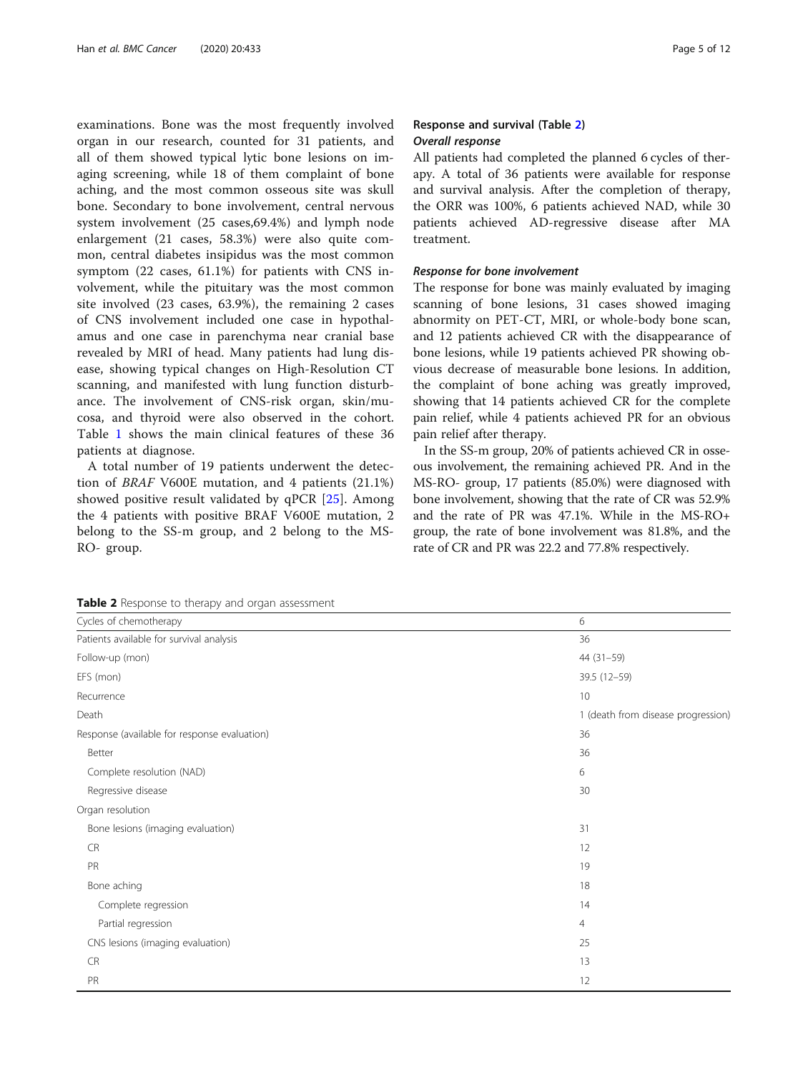examinations. Bone was the most frequently involved organ in our research, counted for 31 patients, and all of them showed typical lytic bone lesions on imaging screening, while 18 of them complaint of bone aching, and the most common osseous site was skull bone. Secondary to bone involvement, central nervous system involvement (25 cases,69.4%) and lymph node enlargement (21 cases, 58.3%) were also quite common, central diabetes insipidus was the most common symptom (22 cases, 61.1%) for patients with CNS involvement, while the pituitary was the most common site involved (23 cases, 63.9%), the remaining 2 cases of CNS involvement included one case in hypothalamus and one case in parenchyma near cranial base revealed by MRI of head. Many patients had lung disease, showing typical changes on High-Resolution CT scanning, and manifested with lung function disturbance. The involvement of CNS-risk organ, skin/mucosa, and thyroid were also observed in the cohort. Table [1](#page-3-0) shows the main clinical features of these 36 patients at diagnose.

A total number of 19 patients underwent the detection of BRAF V600E mutation, and 4 patients (21.1%) showed positive result validated by qPCR [\[25](#page-11-0)]. Among the 4 patients with positive BRAF V600E mutation, 2 belong to the SS-m group, and 2 belong to the MS-RO- group.

# Response and survival (Table 2) Overall response

All patients had completed the planned 6 cycles of therapy. A total of 36 patients were available for response and survival analysis. After the completion of therapy, the ORR was 100%, 6 patients achieved NAD, while 30 patients achieved AD-regressive disease after MA treatment.

# Response for bone involvement

The response for bone was mainly evaluated by imaging scanning of bone lesions, 31 cases showed imaging abnormity on PET-CT, MRI, or whole-body bone scan, and 12 patients achieved CR with the disappearance of bone lesions, while 19 patients achieved PR showing obvious decrease of measurable bone lesions. In addition, the complaint of bone aching was greatly improved, showing that 14 patients achieved CR for the complete pain relief, while 4 patients achieved PR for an obvious pain relief after therapy.

In the SS-m group, 20% of patients achieved CR in osseous involvement, the remaining achieved PR. And in the MS-RO- group, 17 patients (85.0%) were diagnosed with bone involvement, showing that the rate of CR was 52.9% and the rate of PR was 47.1%. While in the MS-RO+ group, the rate of bone involvement was 81.8%, and the rate of CR and PR was 22.2 and 77.8% respectively.

Table 2 Response to therapy and organ assessment

| <b>Table 2</b> Response to therapy and organ assessment |  |  |  |  |  |
|---------------------------------------------------------|--|--|--|--|--|
| 6                                                       |  |  |  |  |  |
| 36                                                      |  |  |  |  |  |
| $44(31-59)$                                             |  |  |  |  |  |
| 39.5 (12-59)                                            |  |  |  |  |  |
| 10                                                      |  |  |  |  |  |
| 1 (death from disease progression)                      |  |  |  |  |  |
| 36                                                      |  |  |  |  |  |
| 36                                                      |  |  |  |  |  |
| 6                                                       |  |  |  |  |  |
| 30                                                      |  |  |  |  |  |
|                                                         |  |  |  |  |  |
| 31                                                      |  |  |  |  |  |
| 12                                                      |  |  |  |  |  |
| 19                                                      |  |  |  |  |  |
| 18                                                      |  |  |  |  |  |
| 14                                                      |  |  |  |  |  |
| $\overline{4}$                                          |  |  |  |  |  |
| 25                                                      |  |  |  |  |  |
| 13                                                      |  |  |  |  |  |
| 12                                                      |  |  |  |  |  |
|                                                         |  |  |  |  |  |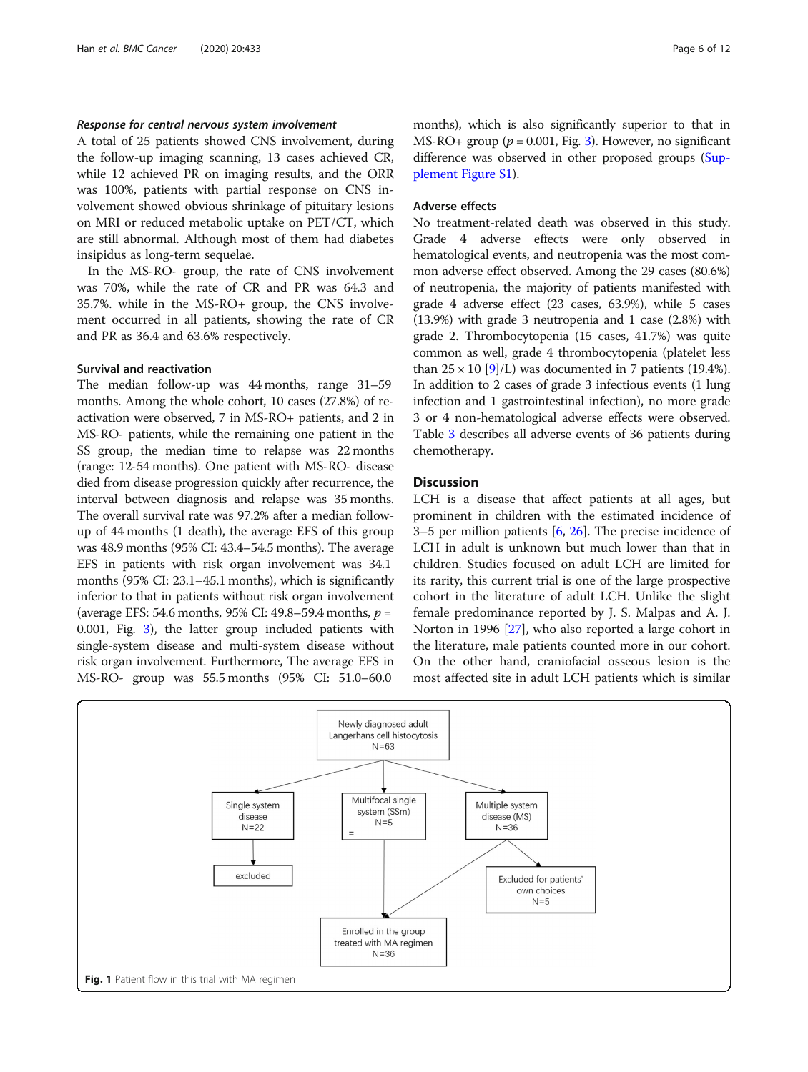# <span id="page-5-0"></span>Response for central nervous system involvement

A total of 25 patients showed CNS involvement, during the follow-up imaging scanning, 13 cases achieved CR, while 12 achieved PR on imaging results, and the ORR was 100%, patients with partial response on CNS involvement showed obvious shrinkage of pituitary lesions on MRI or reduced metabolic uptake on PET/CT, which are still abnormal. Although most of them had diabetes insipidus as long-term sequelae.

In the MS-RO- group, the rate of CNS involvement was 70%, while the rate of CR and PR was 64.3 and 35.7%. while in the MS-RO+ group, the CNS involvement occurred in all patients, showing the rate of CR and PR as 36.4 and 63.6% respectively.

# Survival and reactivation

The median follow-up was 44 months, range 31–59 months. Among the whole cohort, 10 cases (27.8%) of reactivation were observed, 7 in MS-RO+ patients, and 2 in MS-RO- patients, while the remaining one patient in the SS group, the median time to relapse was 22 months (range: 12-54 months). One patient with MS-RO- disease died from disease progression quickly after recurrence, the interval between diagnosis and relapse was 35 months. The overall survival rate was 97.2% after a median followup of 44 months (1 death), the average EFS of this group was 48.9 months (95% CI: 43.4–54.5 months). The average EFS in patients with risk organ involvement was 34.1 months (95% CI: 23.1–45.1 months), which is significantly inferior to that in patients without risk organ involvement (average EFS: 54.6 months, 95% CI: 49.8–59.4 months,  $p =$ 0.001, Fig. [3\)](#page-9-0), the latter group included patients with single-system disease and multi-system disease without risk organ involvement. Furthermore, The average EFS in MS-RO- group was 55.5 months (95% CI: 51.0–60.0

months), which is also significantly superior to that in MS-RO+ group ( $p = 0.001$ , Fig. [3\)](#page-9-0). However, no significant difference was observed in other proposed groups ([Sup](#page-10-0)[plement Figure S1\)](#page-10-0).

## Adverse effects

No treatment-related death was observed in this study. Grade 4 adverse effects were only observed in hematological events, and neutropenia was the most common adverse effect observed. Among the 29 cases (80.6%) of neutropenia, the majority of patients manifested with grade 4 adverse effect (23 cases, 63.9%), while 5 cases (13.9%) with grade 3 neutropenia and 1 case (2.8%) with grade 2. Thrombocytopenia (15 cases, 41.7%) was quite common as well, grade 4 thrombocytopenia (platelet less than  $25 \times 10$  [[9](#page-10-0)]/L) was documented in 7 patients (19.4%). In addition to 2 cases of grade 3 infectious events (1 lung infection and 1 gastrointestinal infection), no more grade 3 or 4 non-hematological adverse effects were observed. Table [3](#page-7-0) describes all adverse events of 36 patients during chemotherapy.

# **Discussion**

LCH is a disease that affect patients at all ages, but prominent in children with the estimated incidence of 3–5 per million patients [[6,](#page-10-0) [26\]](#page-11-0). The precise incidence of LCH in adult is unknown but much lower than that in children. Studies focused on adult LCH are limited for its rarity, this current trial is one of the large prospective cohort in the literature of adult LCH. Unlike the slight female predominance reported by J. S. Malpas and A. J. Norton in 1996 [[27\]](#page-11-0), who also reported a large cohort in the literature, male patients counted more in our cohort. On the other hand, craniofacial osseous lesion is the most affected site in adult LCH patients which is similar

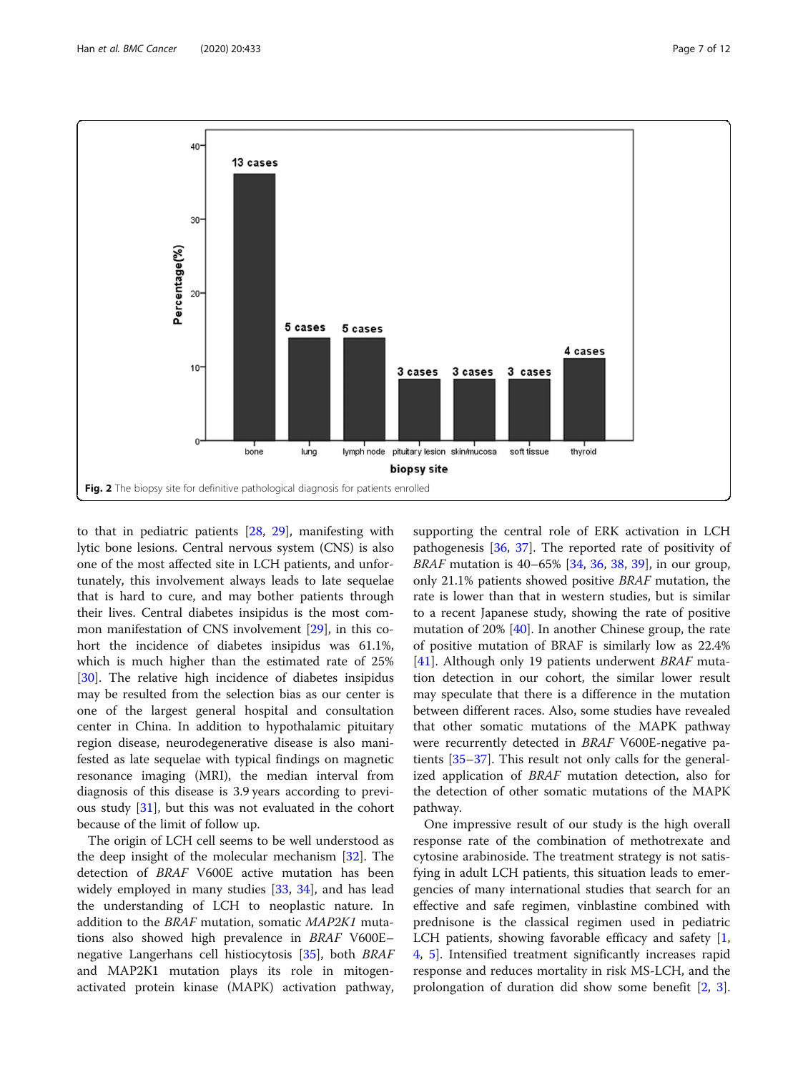<span id="page-6-0"></span>

to that in pediatric patients [[28,](#page-11-0) [29](#page-11-0)], manifesting with lytic bone lesions. Central nervous system (CNS) is also one of the most affected site in LCH patients, and unfortunately, this involvement always leads to late sequelae that is hard to cure, and may bother patients through their lives. Central diabetes insipidus is the most common manifestation of CNS involvement [[29\]](#page-11-0), in this cohort the incidence of diabetes insipidus was 61.1%, which is much higher than the estimated rate of 25% [[30\]](#page-11-0). The relative high incidence of diabetes insipidus may be resulted from the selection bias as our center is one of the largest general hospital and consultation center in China. In addition to hypothalamic pituitary region disease, neurodegenerative disease is also manifested as late sequelae with typical findings on magnetic resonance imaging (MRI), the median interval from diagnosis of this disease is 3.9 years according to previous study [\[31](#page-11-0)], but this was not evaluated in the cohort because of the limit of follow up.

The origin of LCH cell seems to be well understood as the deep insight of the molecular mechanism [\[32](#page-11-0)]. The detection of BRAF V600E active mutation has been widely employed in many studies [\[33,](#page-11-0) [34\]](#page-11-0), and has lead the understanding of LCH to neoplastic nature. In addition to the BRAF mutation, somatic MAP2K1 mutations also showed high prevalence in BRAF V600E– negative Langerhans cell histiocytosis [\[35](#page-11-0)], both BRAF and MAP2K1 mutation plays its role in mitogenactivated protein kinase (MAPK) activation pathway,

supporting the central role of ERK activation in LCH pathogenesis [\[36,](#page-11-0) [37\]](#page-11-0). The reported rate of positivity of BRAF mutation is 40–65% [\[34](#page-11-0), [36](#page-11-0), [38](#page-11-0), [39](#page-11-0)], in our group, only 21.1% patients showed positive BRAF mutation, the rate is lower than that in western studies, but is similar to a recent Japanese study, showing the rate of positive mutation of 20% [[40](#page-11-0)]. In another Chinese group, the rate of positive mutation of BRAF is similarly low as 22.4% [[41\]](#page-11-0). Although only 19 patients underwent BRAF mutation detection in our cohort, the similar lower result may speculate that there is a difference in the mutation between different races. Also, some studies have revealed that other somatic mutations of the MAPK pathway were recurrently detected in BRAF V600E-negative patients [[35](#page-11-0)–[37](#page-11-0)]. This result not only calls for the generalized application of BRAF mutation detection, also for the detection of other somatic mutations of the MAPK pathway.

One impressive result of our study is the high overall response rate of the combination of methotrexate and cytosine arabinoside. The treatment strategy is not satisfying in adult LCH patients, this situation leads to emergencies of many international studies that search for an effective and safe regimen, vinblastine combined with prednisone is the classical regimen used in pediatric LCH patients, showing favorable efficacy and safety [\[1](#page-10-0), [4,](#page-10-0) [5](#page-10-0)]. Intensified treatment significantly increases rapid response and reduces mortality in risk MS-LCH, and the prolongation of duration did show some benefit [[2,](#page-10-0) [3](#page-10-0)].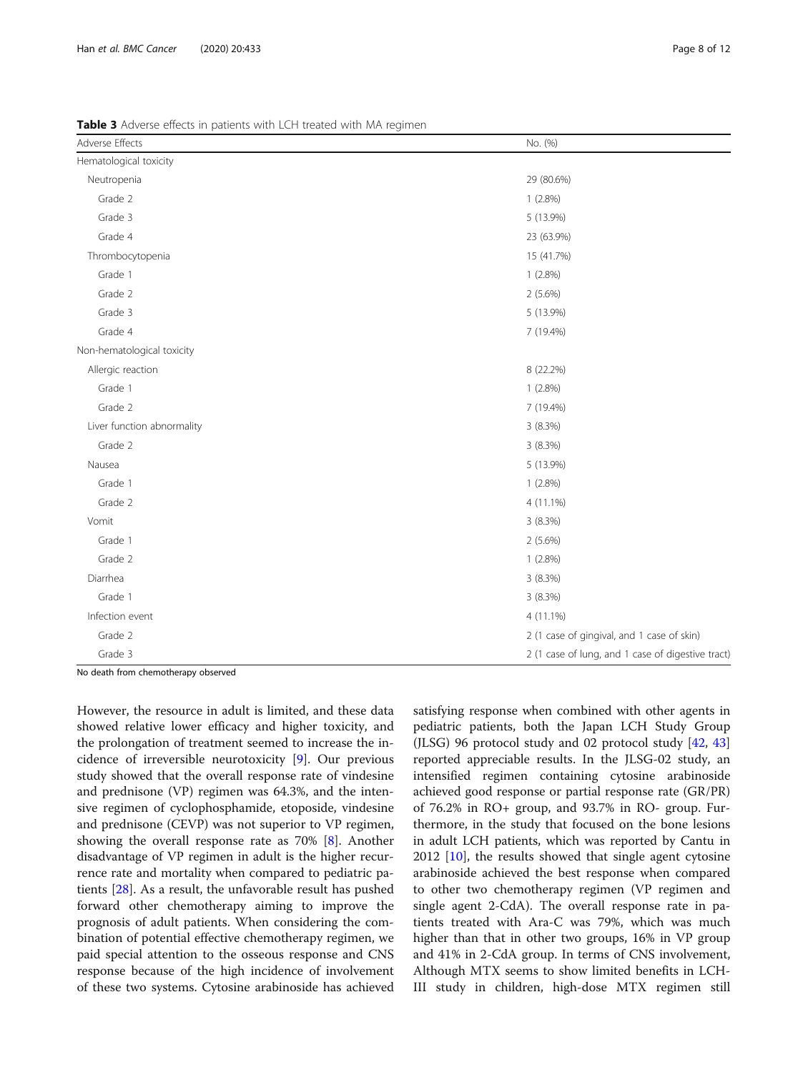<span id="page-7-0"></span>Table 3 Adverse effects in patients with LCH treated with MA regimen

| Adverse Effects            | No. (%)                                           |
|----------------------------|---------------------------------------------------|
| Hematological toxicity     |                                                   |
| Neutropenia                | 29 (80.6%)                                        |
| Grade 2                    | 1(2.8%)                                           |
| Grade 3                    | 5 (13.9%)                                         |
| Grade 4                    | 23 (63.9%)                                        |
| Thrombocytopenia           | 15 (41.7%)                                        |
| Grade 1                    | 1(2.8%)                                           |
| Grade 2                    | $2(5.6\%)$                                        |
| Grade 3                    | 5 (13.9%)                                         |
| Grade 4                    | 7 (19.4%)                                         |
| Non-hematological toxicity |                                                   |
| Allergic reaction          | 8 (22.2%)                                         |
| Grade 1                    | $1(2.8\%)$                                        |
| Grade 2                    | 7 (19.4%)                                         |
| Liver function abnormality | 3 (8.3%)                                          |
| Grade 2                    | 3(8.3%)                                           |
| Nausea                     | 5 (13.9%)                                         |
| Grade 1                    | 1(2.8%)                                           |
| Grade 2                    | 4 (11.1%)                                         |
| Vomit                      | 3(8.3%)                                           |
| Grade 1                    | $2(5.6\%)$                                        |
| Grade 2                    | $1(2.8\%)$                                        |
| Diarrhea                   | 3(8.3%)                                           |
| Grade 1                    | 3 (8.3%)                                          |
| Infection event            | 4 (11.1%)                                         |
| Grade 2                    | 2 (1 case of gingival, and 1 case of skin)        |
| Grade 3                    | 2 (1 case of lung, and 1 case of digestive tract) |

No death from chemotherapy observed

However, the resource in adult is limited, and these data showed relative lower efficacy and higher toxicity, and the prolongation of treatment seemed to increase the incidence of irreversible neurotoxicity [[9\]](#page-10-0). Our previous study showed that the overall response rate of vindesine and prednisone (VP) regimen was 64.3%, and the intensive regimen of cyclophosphamide, etoposide, vindesine and prednisone (CEVP) was not superior to VP regimen, showing the overall response rate as 70% [[8\]](#page-10-0). Another disadvantage of VP regimen in adult is the higher recurrence rate and mortality when compared to pediatric patients [\[28](#page-11-0)]. As a result, the unfavorable result has pushed forward other chemotherapy aiming to improve the prognosis of adult patients. When considering the combination of potential effective chemotherapy regimen, we paid special attention to the osseous response and CNS response because of the high incidence of involvement of these two systems. Cytosine arabinoside has achieved

satisfying response when combined with other agents in pediatric patients, both the Japan LCH Study Group (JLSG) 96 protocol study and 02 protocol study [\[42,](#page-11-0) [43](#page-11-0)] reported appreciable results. In the JLSG-02 study, an intensified regimen containing cytosine arabinoside achieved good response or partial response rate (GR/PR) of 76.2% in RO+ group, and 93.7% in RO- group. Furthermore, in the study that focused on the bone lesions in adult LCH patients, which was reported by Cantu in 2012 [\[10](#page-10-0)], the results showed that single agent cytosine arabinoside achieved the best response when compared to other two chemotherapy regimen (VP regimen and single agent 2-CdA). The overall response rate in patients treated with Ara-C was 79%, which was much higher than that in other two groups, 16% in VP group and 41% in 2-CdA group. In terms of CNS involvement, Although MTX seems to show limited benefits in LCH-III study in children, high-dose MTX regimen still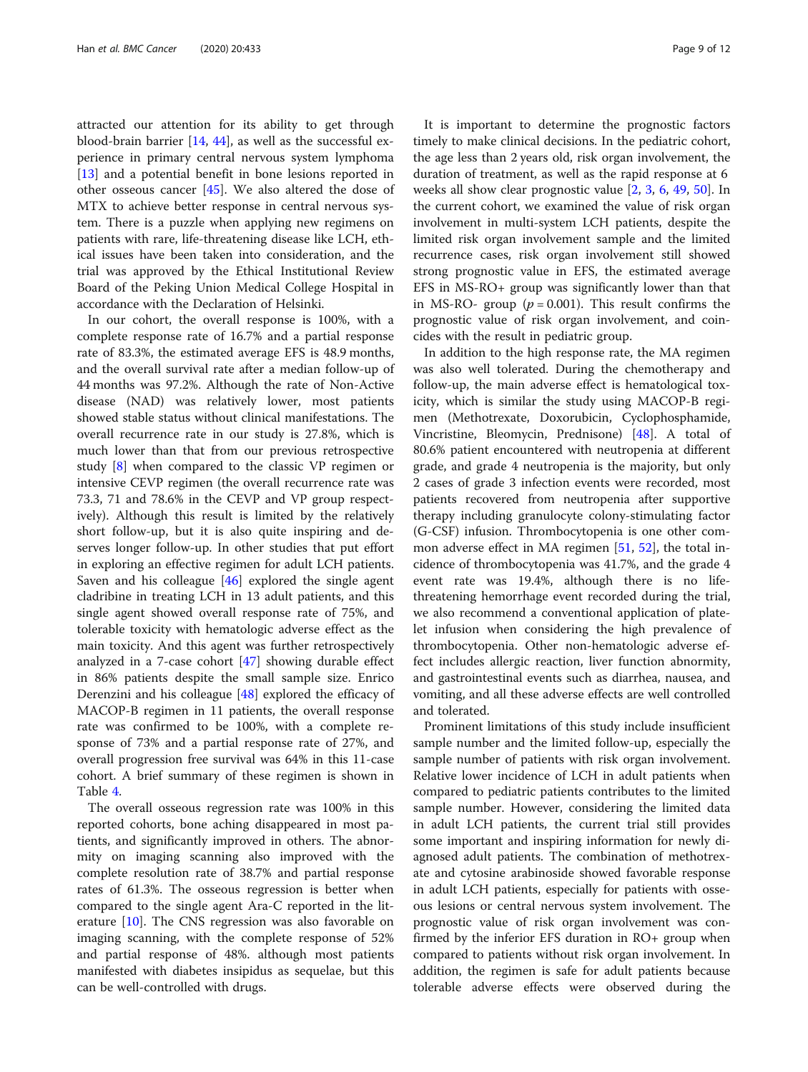attracted our attention for its ability to get through blood-brain barrier [[14,](#page-10-0) [44\]](#page-11-0), as well as the successful experience in primary central nervous system lymphoma [[13\]](#page-10-0) and a potential benefit in bone lesions reported in other osseous cancer [\[45](#page-11-0)]. We also altered the dose of MTX to achieve better response in central nervous system. There is a puzzle when applying new regimens on patients with rare, life-threatening disease like LCH, ethical issues have been taken into consideration, and the trial was approved by the Ethical Institutional Review Board of the Peking Union Medical College Hospital in accordance with the Declaration of Helsinki.

In our cohort, the overall response is 100%, with a complete response rate of 16.7% and a partial response rate of 83.3%, the estimated average EFS is 48.9 months, and the overall survival rate after a median follow-up of 44 months was 97.2%. Although the rate of Non-Active disease (NAD) was relatively lower, most patients showed stable status without clinical manifestations. The overall recurrence rate in our study is 27.8%, which is much lower than that from our previous retrospective study [[8\]](#page-10-0) when compared to the classic VP regimen or intensive CEVP regimen (the overall recurrence rate was 73.3, 71 and 78.6% in the CEVP and VP group respectively). Although this result is limited by the relatively short follow-up, but it is also quite inspiring and deserves longer follow-up. In other studies that put effort in exploring an effective regimen for adult LCH patients. Saven and his colleague [[46\]](#page-11-0) explored the single agent cladribine in treating LCH in 13 adult patients, and this single agent showed overall response rate of 75%, and tolerable toxicity with hematologic adverse effect as the main toxicity. And this agent was further retrospectively analyzed in a 7-case cohort [\[47](#page-11-0)] showing durable effect in 86% patients despite the small sample size. Enrico Derenzini and his colleague [[48](#page-11-0)] explored the efficacy of MACOP-B regimen in 11 patients, the overall response rate was confirmed to be 100%, with a complete response of 73% and a partial response rate of 27%, and overall progression free survival was 64% in this 11-case cohort. A brief summary of these regimen is shown in Table [4.](#page-9-0)

The overall osseous regression rate was 100% in this reported cohorts, bone aching disappeared in most patients, and significantly improved in others. The abnormity on imaging scanning also improved with the complete resolution rate of 38.7% and partial response rates of 61.3%. The osseous regression is better when compared to the single agent Ara-C reported in the literature [[10\]](#page-10-0). The CNS regression was also favorable on imaging scanning, with the complete response of 52% and partial response of 48%. although most patients manifested with diabetes insipidus as sequelae, but this can be well-controlled with drugs.

It is important to determine the prognostic factors timely to make clinical decisions. In the pediatric cohort, the age less than 2 years old, risk organ involvement, the duration of treatment, as well as the rapid response at 6 weeks all show clear prognostic value [[2,](#page-10-0) [3,](#page-10-0) [6](#page-10-0), [49](#page-11-0), [50](#page-11-0)]. In the current cohort, we examined the value of risk organ involvement in multi-system LCH patients, despite the limited risk organ involvement sample and the limited recurrence cases, risk organ involvement still showed strong prognostic value in EFS, the estimated average EFS in MS-RO+ group was significantly lower than that in MS-RO- group ( $p = 0.001$ ). This result confirms the prognostic value of risk organ involvement, and coincides with the result in pediatric group.

In addition to the high response rate, the MA regimen was also well tolerated. During the chemotherapy and follow-up, the main adverse effect is hematological toxicity, which is similar the study using MACOP-B regimen (Methotrexate, Doxorubicin, Cyclophosphamide, Vincristine, Bleomycin, Prednisone) [\[48](#page-11-0)]. A total of 80.6% patient encountered with neutropenia at different grade, and grade 4 neutropenia is the majority, but only 2 cases of grade 3 infection events were recorded, most patients recovered from neutropenia after supportive therapy including granulocyte colony-stimulating factor (G-CSF) infusion. Thrombocytopenia is one other common adverse effect in MA regimen [[51,](#page-11-0) [52\]](#page-11-0), the total incidence of thrombocytopenia was 41.7%, and the grade 4 event rate was 19.4%, although there is no lifethreatening hemorrhage event recorded during the trial, we also recommend a conventional application of platelet infusion when considering the high prevalence of thrombocytopenia. Other non-hematologic adverse effect includes allergic reaction, liver function abnormity, and gastrointestinal events such as diarrhea, nausea, and vomiting, and all these adverse effects are well controlled and tolerated.

Prominent limitations of this study include insufficient sample number and the limited follow-up, especially the sample number of patients with risk organ involvement. Relative lower incidence of LCH in adult patients when compared to pediatric patients contributes to the limited sample number. However, considering the limited data in adult LCH patients, the current trial still provides some important and inspiring information for newly diagnosed adult patients. The combination of methotrexate and cytosine arabinoside showed favorable response in adult LCH patients, especially for patients with osseous lesions or central nervous system involvement. The prognostic value of risk organ involvement was confirmed by the inferior EFS duration in RO+ group when compared to patients without risk organ involvement. In addition, the regimen is safe for adult patients because tolerable adverse effects were observed during the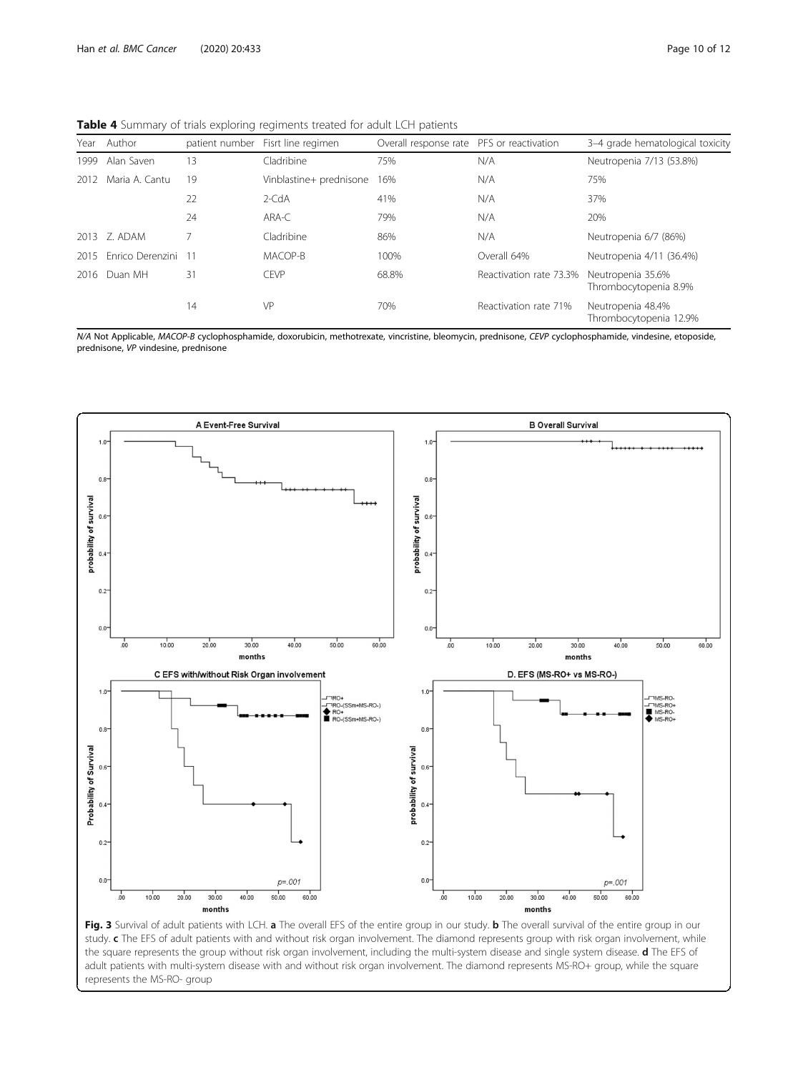<span id="page-9-0"></span>Table 4 Summary of trials exploring regiments treated for adult LCH patients

| Year | Author                  |     | patient number Fisrt line regimen | Overall response rate PFS or reactivation |                         | 3-4 grade hematological toxicity            |
|------|-------------------------|-----|-----------------------------------|-------------------------------------------|-------------------------|---------------------------------------------|
| 1999 | Alan Saven              | 13  | Cladribine                        | 75%                                       | N/A                     | Neutropenia 7/13 (53.8%)                    |
| 2012 | Maria A. Cantu          | 19  | Vinblastine+ prednisone           | 16%                                       | N/A                     | 75%                                         |
|      |                         | 22  | $2$ -CdA                          | 41%                                       | N/A                     | 37%                                         |
|      |                         | 24  | ARA-C                             | 79%                                       | N/A                     | 20%                                         |
| 2013 | 7. ADAM                 |     | Cladribine                        | 86%                                       | N/A                     | Neutropenia 6/7 (86%)                       |
| 2015 | <b>Fnrico Derenzini</b> | -11 | MACOP-B                           | 100%                                      | Overall 64%             | Neutropenia 4/11 (36.4%)                    |
| 2016 | Duan MH                 | 31  | <b>CEVP</b>                       | 68.8%                                     | Reactivation rate 73.3% | Neutropenia 35.6%<br>Thrombocytopenia 8.9%  |
|      |                         | 14  | VP                                | 70%                                       | Reactivation rate 71%   | Neutropenia 48.4%<br>Thrombocytopenia 12.9% |

N/A Not Applicable, MACOP-B cyclophosphamide, doxorubicin, methotrexate, vincristine, bleomycin, prednisone, CEVP cyclophosphamide, vindesine, etoposide, prednisone, VP vindesine, prednisone



Fig. 3 Survival of adult patients with LCH. a The overall EFS of the entire group in our study. b The overall survival of the entire group in our study. c The EFS of adult patients with and without risk organ involvement. The diamond represents group with risk organ involvement, while the square represents the group without risk organ involvement, including the multi-system disease and single system disease. d The EFS of adult patients with multi-system disease with and without risk organ involvement. The diamond represents MS-RO+ group, while the square represents the MS-RO- group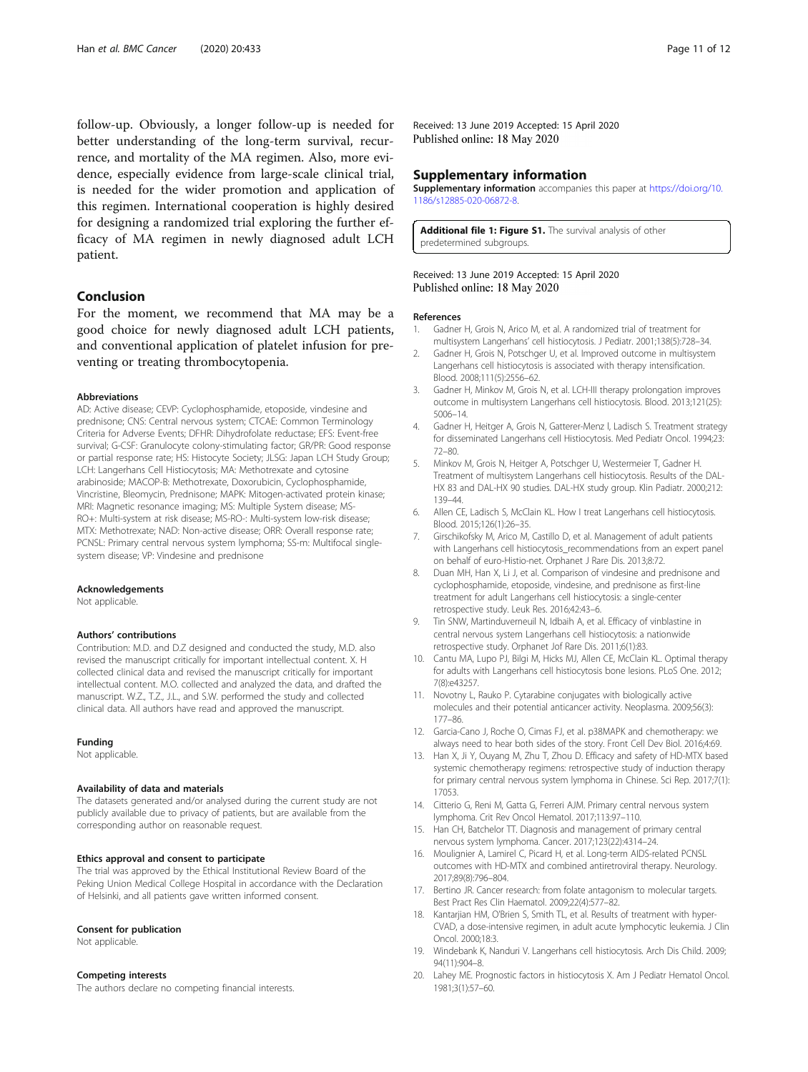<span id="page-10-0"></span>follow-up. Obviously, a longer follow-up is needed for better understanding of the long-term survival, recurrence, and mortality of the MA regimen. Also, more evidence, especially evidence from large-scale clinical trial, is needed for the wider promotion and application of this regimen. International cooperation is highly desired for designing a randomized trial exploring the further efficacy of MA regimen in newly diagnosed adult LCH patient.

# Conclusion

For the moment, we recommend that MA may be a good choice for newly diagnosed adult LCH patients, and conventional application of platelet infusion for preventing or treating thrombocytopenia.

### Abbreviations

AD: Active disease; CEVP: Cyclophosphamide, etoposide, vindesine and prednisone; CNS: Central nervous system; CTCAE: Common Terminology Criteria for Adverse Events; DFHR: Dihydrofolate reductase; EFS: Event-free survival; G-CSF: Granulocyte colony-stimulating factor; GR/PR: Good response or partial response rate; HS: Histocyte Society; JLSG: Japan LCH Study Group; LCH: Langerhans Cell Histiocytosis; MA: Methotrexate and cytosine arabinoside; MACOP-B: Methotrexate, Doxorubicin, Cyclophosphamide, Vincristine, Bleomycin, Prednisone; MAPK: Mitogen-activated protein kinase; MRI: Magnetic resonance imaging; MS: Multiple System disease; MS-RO+: Multi-system at risk disease; MS-RO-: Multi-system low-risk disease; MTX: Methotrexate; NAD: Non-active disease; ORR: Overall response rate; PCNSL: Primary central nervous system lymphoma; SS-m: Multifocal singlesystem disease; VP: Vindesine and prednisone

### Acknowledgements

Not applicable.

## Authors' contributions

Contribution: M.D. and D.Z designed and conducted the study, M.D. also revised the manuscript critically for important intellectual content. X. H collected clinical data and revised the manuscript critically for important intellectual content. M.O. collected and analyzed the data, and drafted the manuscript. W.Z., T.Z., J.L., and S.W. performed the study and collected clinical data. All authors have read and approved the manuscript.

#### Funding

Not applicable.

#### Availability of data and materials

The datasets generated and/or analysed during the current study are not publicly available due to privacy of patients, but are available from the corresponding author on reasonable request.

#### Ethics approval and consent to participate

The trial was approved by the Ethical Institutional Review Board of the Peking Union Medical College Hospital in accordance with the Declaration of Helsinki, and all patients gave written informed consent.

#### Consent for publication

Not applicable.

#### Competing interests

The authors declare no competing financial interests.

Received: 13 June 2019 Accepted: 15 April 2020 Published online: 18 May 2020

### Supplementary information

Supplementary information accompanies this paper at [https://doi.org/10.](https://doi.org/10.1186/s12885-020-06872-8) [1186/s12885-020-06872-8](https://doi.org/10.1186/s12885-020-06872-8).

Additional file 1: Figure S1. The survival analysis of other predetermined subgroups.

### Received: 13 June 2019 Accepted: 15 April 2020 Published online: 18 May 2020

#### References

- 1. Gadner H, Grois N, Arico M, et al. A randomized trial of treatment for multisystem Langerhans' cell histiocytosis. J Pediatr. 2001;138(5):728–34.
- 2. Gadner H, Grois N, Potschger U, et al. Improved outcome in multisystem Langerhans cell histiocytosis is associated with therapy intensification. Blood. 2008;111(5):2556–62.
- 3. Gadner H, Minkov M, Grois N, et al. LCH-III therapy prolongation improves outcome in multisystem Langerhans cell histiocytosis. Blood. 2013;121(25): 5006–14.
- 4. Gadner H, Heitger A, Grois N, Gatterer-Menz l, Ladisch S. Treatment strategy for disseminated Langerhans cell Histiocytosis. Med Pediatr Oncol. 1994;23: 72–80.
- 5. Minkov M, Grois N, Heitger A, Potschger U, Westermeier T, Gadner H. Treatment of multisystem Langerhans cell histiocytosis. Results of the DAL-HX 83 and DAL-HX 90 studies. DAL-HX study group. Klin Padiatr. 2000;212: 139–44.
- 6. Allen CE, Ladisch S, McClain KL. How I treat Langerhans cell histiocytosis. Blood. 2015;126(1):26–35.
- 7. Girschikofsky M, Arico M, Castillo D, et al. Management of adult patients with Langerhans cell histiocytosis\_recommendations from an expert panel on behalf of euro-Histio-net. Orphanet J Rare Dis. 2013;8:72.
- 8. Duan MH, Han X, Li J, et al. Comparison of vindesine and prednisone and cyclophosphamide, etoposide, vindesine, and prednisone as first-line treatment for adult Langerhans cell histiocytosis: a single-center retrospective study. Leuk Res. 2016;42:43–6.
- Tin SNW, Martinduverneuil N, Idbaih A, et al. Efficacy of vinblastine in central nervous system Langerhans cell histiocytosis: a nationwide retrospective study. Orphanet Jof Rare Dis. 2011;6(1):83.
- 10. Cantu MA, Lupo PJ, Bilgi M, Hicks MJ, Allen CE, McClain KL. Optimal therapy for adults with Langerhans cell histiocytosis bone lesions. PLoS One. 2012; 7(8):e43257.
- 11. Novotny L, Rauko P. Cytarabine conjugates with biologically active molecules and their potential anticancer activity. Neoplasma. 2009;56(3): 177–86.
- 12. Garcia-Cano J, Roche O, Cimas FJ, et al. p38MAPK and chemotherapy: we always need to hear both sides of the story. Front Cell Dev Biol. 2016;4:69.
- 13. Han X, Ji Y, Ouyang M, Zhu T, Zhou D. Efficacy and safety of HD-MTX based systemic chemotherapy regimens: retrospective study of induction therapy for primary central nervous system lymphoma in Chinese. Sci Rep. 2017;7(1): 17053.
- 14. Citterio G, Reni M, Gatta G, Ferreri AJM. Primary central nervous system lymphoma. Crit Rev Oncol Hematol. 2017;113:97–110.
- 15. Han CH, Batchelor TT. Diagnosis and management of primary central nervous system lymphoma. Cancer. 2017;123(22):4314–24.
- 16. Moulignier A, Lamirel C, Picard H, et al. Long-term AIDS-related PCNSL outcomes with HD-MTX and combined antiretroviral therapy. Neurology. 2017;89(8):796–804.
- 17. Bertino JR. Cancer research: from folate antagonism to molecular targets. Best Pract Res Clin Haematol. 2009;22(4):577–82.
- 18. Kantarjian HM, O'Brien S, Smith TL, et al. Results of treatment with hyper-CVAD, a dose-intensive regimen, in adult acute lymphocytic leukemia. J Clin Oncol. 2000;18:3.
- 19. Windebank K, Nanduri V. Langerhans cell histiocytosis. Arch Dis Child. 2009; 94(11):904–8.
- 20. Lahey ME. Prognostic factors in histiocytosis X. Am J Pediatr Hematol Oncol. 1981;3(1):57–60.